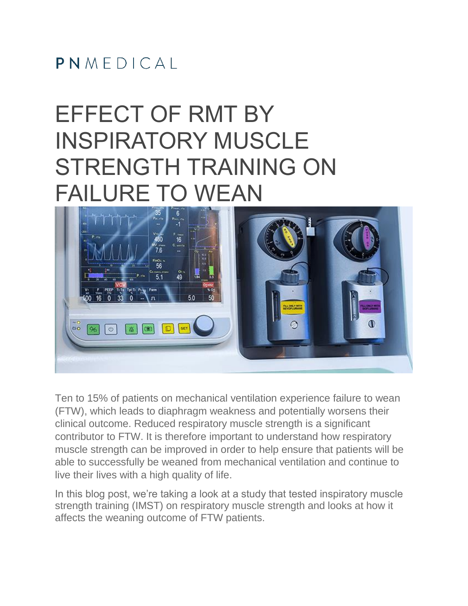#### $PMMFDICA$

# EFFECT OF RMT BY INSPIRATORY MUSCLE STRENGTH TRAINING ON FAILURE TO WEAN



Ten to 15% of patients on mechanical ventilation experience failure to wean (FTW), which leads to diaphragm weakness and potentially worsens their clinical outcome. Reduced respiratory muscle strength is a significant contributor to FTW. It is therefore important to understand how respiratory muscle strength can be improved in order to help ensure that patients will be able to successfully be weaned from mechanical ventilation and continue to live their lives with a high quality of life.

In this blog post, we're taking a look at a study that tested inspiratory muscle strength training (IMST) on respiratory muscle strength and looks at how it affects the weaning outcome of FTW patients.